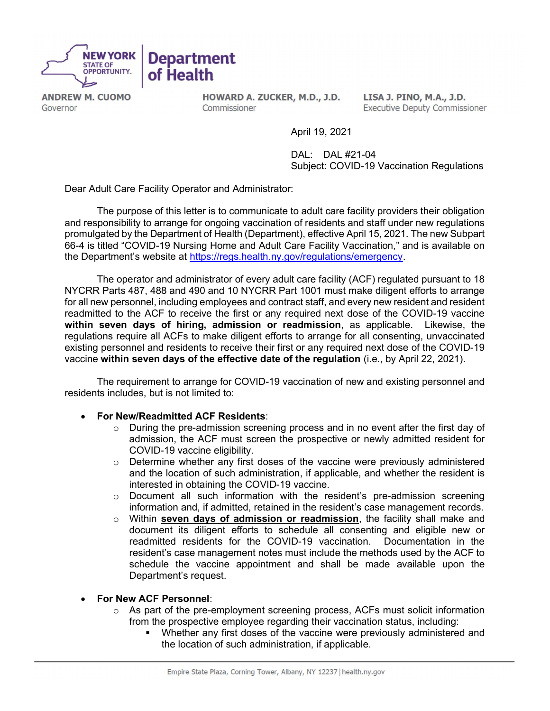

**ANDREW M. CUOMO** Governor

HOWARD A. ZUCKER, M.D., J.D. Commissioner

LISA J. PINO, M.A., J.D. **Executive Deputy Commissioner** 

April 19, 2021

 DAL: DAL #21-04 Subject: COVID-19 Vaccination Regulations

Dear Adult Care Facility Operator and Administrator:

 The purpose of this letter is to communicate to adult care facility providers their obligation and responsibility to arrange for ongoing vaccination of residents and staff under new regulations promulgated by the Department of Health (Department), effective April 15, 2021. The new Subpart 66-4 is titled "COVID-19 Nursing Home and Adult Care Facility Vaccination," and is available on the Department's website at https://regs.health.ny.gov/regulations/emergency.

The operator and administrator of every adult care facility (ACF) regulated pursuant to 18 NYCRR Parts 487, 488 and 490 and 10 NYCRR Part 1001 must make diligent efforts to arrange for all new personnel, including employees and contract staff, and every new resident and resident readmitted to the ACF to receive the first or any required next dose of the COVID-19 vaccine within seven days of hiring, admission or readmission, as applicable. Likewise, the regulations require all ACFs to make diligent efforts to arrange for all consenting, unvaccinated existing personnel and residents to receive their first or any required next dose of the COVID-19 vaccine within seven days of the effective date of the regulation (i.e., by April 22, 2021).

The requirement to arrange for COVID-19 vaccination of new and existing personnel and residents includes, but is not limited to:

## For New/Readmitted ACF Residents:

- o During the pre-admission screening process and in no event after the first day of admission, the ACF must screen the prospective or newly admitted resident for COVID-19 vaccine eligibility.
- $\circ$  Determine whether any first doses of the vaccine were previously administered and the location of such administration, if applicable, and whether the resident is interested in obtaining the COVID-19 vaccine.
- $\circ$  Document all such information with the resident's pre-admission screening information and, if admitted, retained in the resident's case management records.
- $\circ$  Within seven days of admission or readmission, the facility shall make and document its diligent efforts to schedule all consenting and eligible new or readmitted residents for the COVID-19 vaccination. Documentation in the resident's case management notes must include the methods used by the ACF to schedule the vaccine appointment and shall be made available upon the Department's request.
- For New ACF Personnel:
	- $\circ$  As part of the pre-employment screening process, ACFs must solicit information from the prospective employee regarding their vaccination status, including:
		- Whether any first doses of the vaccine were previously administered and the location of such administration, if applicable.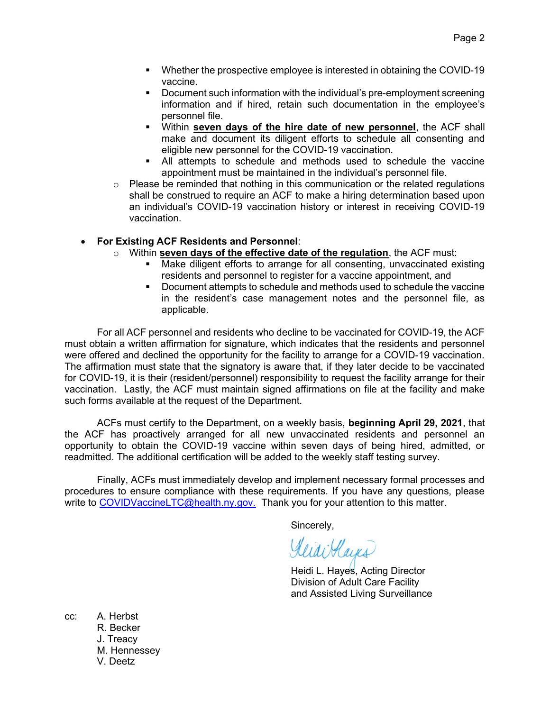- **Whether the prospective employee is interested in obtaining the COVID-19** vaccine.
- Document such information with the individual's pre-employment screening information and if hired, retain such documentation in the employee's personnel file.
- Within seven days of the hire date of new personnel, the ACF shall make and document its diligent efforts to schedule all consenting and eligible new personnel for the COVID-19 vaccination.
- All attempts to schedule and methods used to schedule the vaccine appointment must be maintained in the individual's personnel file.
- $\circ$  Please be reminded that nothing in this communication or the related regulations shall be construed to require an ACF to make a hiring determination based upon an individual's COVID-19 vaccination history or interest in receiving COVID-19 vaccination.

## For Existing ACF Residents and Personnel:

- $\circ$  Within seven days of the effective date of the regulation, the ACF must:
	- Make diligent efforts to arrange for all consenting, unvaccinated existing residents and personnel to register for a vaccine appointment, and
	- Document attempts to schedule and methods used to schedule the vaccine in the resident's case management notes and the personnel file, as applicable.

For all ACF personnel and residents who decline to be vaccinated for COVID-19, the ACF must obtain a written affirmation for signature, which indicates that the residents and personnel were offered and declined the opportunity for the facility to arrange for a COVID-19 vaccination. The affirmation must state that the signatory is aware that, if they later decide to be vaccinated for COVID-19, it is their (resident/personnel) responsibility to request the facility arrange for their vaccination. Lastly, the ACF must maintain signed affirmations on file at the facility and make such forms available at the request of the Department.

ACFs must certify to the Department, on a weekly basis, beginning April 29, 2021, that the ACF has proactively arranged for all new unvaccinated residents and personnel an opportunity to obtain the COVID-19 vaccine within seven days of being hired, admitted, or readmitted. The additional certification will be added to the weekly staff testing survey.

Finally, ACFs must immediately develop and implement necessary formal processes and procedures to ensure compliance with these requirements. If you have any questions, please write to COVIDVaccineLTC@health.ny.gov. Thank you for your attention to this matter.

Sincerely,

KeiaiHaus

Heidi L. Hayes, Acting Director Division of Adult Care Facility and Assisted Living Surveillance

cc: A. Herbst R. Becker J. Treacy M. Hennessey V. Deetz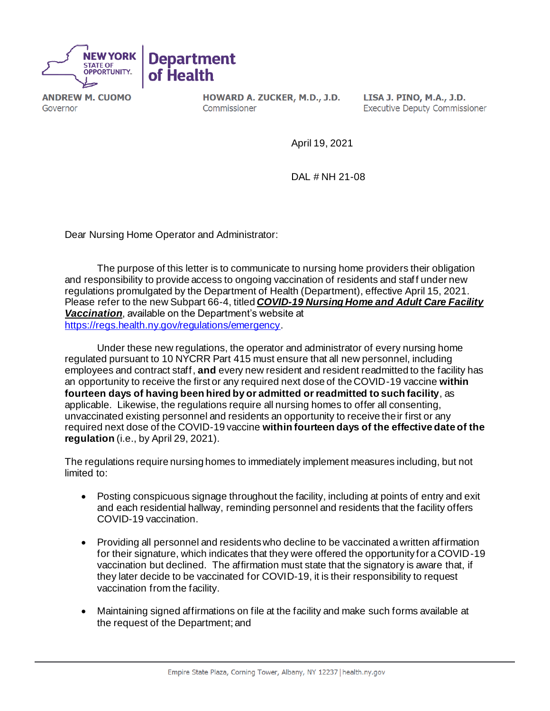

**ANDREW M. CUOMO** Governor

HOWARD A. ZUCKER, M.D., J.D. Commissioner

LISA J. PINO, M.A., J.D. **Executive Deputy Commissioner** 

April 19, 2021

DAL # NH 21-08

Dear Nursing Home Operator and Administrator:

The purpose of this letter is to communicate to nursing home providers their obligation and responsibility to provide access to ongoing vaccination of residents and staff under new regulations promulgated by the Department of Health (Department), effective April 15, 2021. Please refer to the new Subpart 66-4, titled *COVID-19 Nursing Home and Adult Care Facility Vaccination*, available on the Department's website at <https://regs.health.ny.gov/regulations/emergency>.

Under these new regulations, the operator and administrator of every nursing home regulated pursuant to 10 NYCRR Part 415 must ensure that all new personnel, including employees and contract staff, **and** every new resident and resident readmitted to the facility has an opportunity to receive the first or any required next dose of the COVID-19 vaccine **within fourteen days of having been hired by or admitted or readmitted to such facility**, as applicable. Likewise, the regulations require all nursing homes to offer all consenting, unvaccinated existing personnel and residents an opportunity to receive their first or any required next dose of the COVID-19 vaccine **within fourteen days of the effective date of the regulation** (i.e., by April 29, 2021).

The regulations require nursing homes to immediately implement measures including, but not limited to:

- Posting conspicuous signage throughout the facility, including at points of entry and exit and each residential hallway, reminding personnel and residents that the facility offers COVID-19 vaccination.
- Providing all personnel and residents who decline to be vaccinated a written affirmation for their signature, which indicates that they were offered the opportunity for a COVID-19 vaccination but declined. The affirmation must state that the signatory is aware that, if they later decide to be vaccinated for COVID-19, it is their responsibility to request vaccination from the facility.
- Maintaining signed affirmations on file at the facility and make such forms available at the request of the Department; and